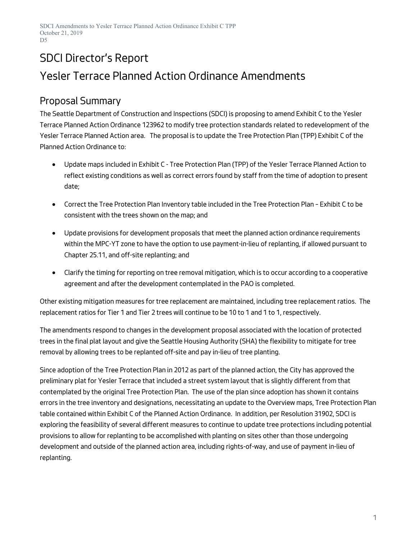# SDCI Director's Report Yesler Terrace Planned Action Ordinance Amendments

# Proposal Summary

The Seattle Department of Construction and Inspections (SDCI) is proposing to amend Exhibit C to the Yesler Terrace Planned Action Ordinance 123962 to modify tree protection standards related to redevelopment of the Yesler Terrace Planned Action area. The proposal is to update the Tree Protection Plan (TPP) Exhibit C of the Planned Action Ordinance to:

- Update maps included in Exhibit C Tree Protection Plan (TPP) of the Yesler Terrace Planned Action to reflect existing conditions as well as correct errors found by staff from the time of adoption to present date;
- Correct the Tree Protection Plan Inventory table included in the Tree Protection Plan Exhibit C to be consistent with the trees shown on the map; and
- Update provisions for development proposals that meet the planned action ordinance requirements within the MPC-YT zone to have the option to use payment-in-lieu of replanting, if allowed pursuant to Chapter 25.11, and off-site replanting; and
- Clarify the timing for reporting on tree removal mitigation, which is to occur according to a cooperative agreement and after the development contemplated in the PAO is completed.

Other existing mitigation measures for tree replacement are maintained, including tree replacement ratios. The replacement ratios for Tier 1 and Tier 2 trees will continue to be 10 to 1 and 1 to 1, respectively.

The amendments respond to changes in the development proposal associated with the location of protected trees in the final plat layout and give the Seattle Housing Authority (SHA) the flexibility to mitigate for tree removal by allowing trees to be replanted off-site and pay in-lieu of tree planting.

Since adoption of the Tree Protection Plan in 2012 as part of the planned action, the City has approved the preliminary plat for Yesler Terrace that included a street system layout that is slightly different from that contemplated by the original Tree Protection Plan. The use of the plan since adoption has shown it contains errors in the tree inventory and designations, necessitating an update to the Overview maps, Tree Protection Plan table contained within Exhibit C of the Planned Action Ordinance. In addition, per Resolution 31902, SDCI is exploring the feasibility of several different measures to continue to update tree protections including potential provisions to allow for replanting to be accomplished with planting on sites other than those undergoing development and outside of the planned action area, including rights-of-way, and use of payment in-lieu of replanting.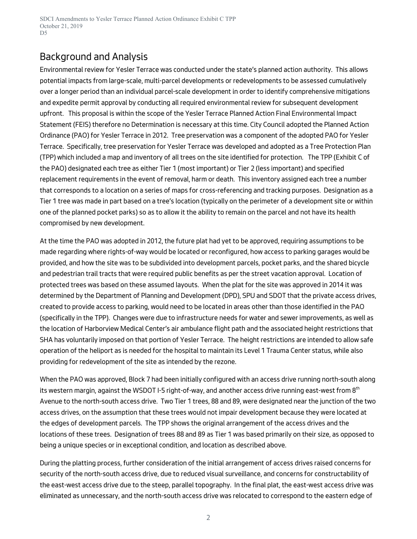SDCI Amendments to Yesler Terrace Planned Action Ordinance Exhibit C TPP October 21, 2019 D<sub>5</sub>

### Background and Analysis

Environmental review for Yesler Terrace was conducted under the state's planned action authority. This allows potential impacts from large-scale, multi-parcel developments or redevelopments to be assessed cumulatively over a longer period than an individual parcel-scale development in order to identify comprehensive mitigations and expedite permit approval by conducting all required environmental review for subsequent development upfront. This proposal is within the scope of the Yesler Terrace Planned Action Final Environmental Impact Statement (FEIS) therefore no Determination is necessary at this time. City Council adopted the Planned Action Ordinance (PAO) for Yesler Terrace in 2012. Tree preservation was a component of the adopted PAO for Yesler Terrace. Specifically, tree preservation for Yesler Terrace was developed and adopted as a Tree Protection Plan (TPP) which included a map and inventory of all trees on the site identified for protection. The TPP (Exhibit C of the PAO) designated each tree as either Tier 1 (most important) or Tier 2 (less important) and specified replacement requirements in the event of removal, harm or death. This inventory assigned each tree a number that corresponds to a location on a series of maps for cross-referencing and tracking purposes. Designation as a Tier 1 tree was made in part based on a tree's location (typically on the perimeter of a development site or within one of the planned pocket parks) so as to allow it the ability to remain on the parcel and not have its health compromised by new development.

At the time the PAO was adopted in 2012, the future plat had yet to be approved, requiring assumptions to be made regarding where rights-of-way would be located or reconfigured, how access to parking garages would be provided, and how the site was to be subdivided into development parcels, pocket parks, and the shared bicycle and pedestrian trail tracts that were required public benefits as per the street vacation approval. Location of protected trees was based on these assumed layouts. When the plat for the site was approved in 2014 it was determined by the Department of Planning and Development (DPD), SPU and SDOT that the private access drives, created to provide access to parking, would need to be located in areas other than those identified in the PAO (specifically in the TPP). Changes were due to infrastructure needs for water and sewer improvements, as well as the location of Harborview Medical Center's air ambulance flight path and the associated height restrictions that SHA has voluntarily imposed on that portion of Yesler Terrace. The height restrictions are intended to allow safe operation of the heliport as is needed for the hospital to maintain its Level 1 Trauma Center status, while also providing for redevelopment of the site as intended by the rezone.

When the PAO was approved, Block 7 had been initially configured with an access drive running north-south along its western margin, against the WSDOT I-5 right-of-way, and another access drive running east-west from  $8<sup>th</sup>$ Avenue to the north-south access drive. Two Tier 1 trees, 88 and 89, were designated near the junction of the two access drives, on the assumption that these trees would not impair development because they were located at the edges of development parcels. The TPP shows the original arrangement of the access drives and the locations of these trees. Designation of trees 88 and 89 as Tier 1 was based primarily on their size, as opposed to being a unique species or in exceptional condition, and location as described above.

During the platting process, further consideration of the initial arrangement of access drives raised concerns for security of the north-south access drive, due to reduced visual surveillance, and concerns for constructability of the east-west access drive due to the steep, parallel topography. In the final plat, the east-west access drive was eliminated as unnecessary, and the north-south access drive was relocated to correspond to the eastern edge of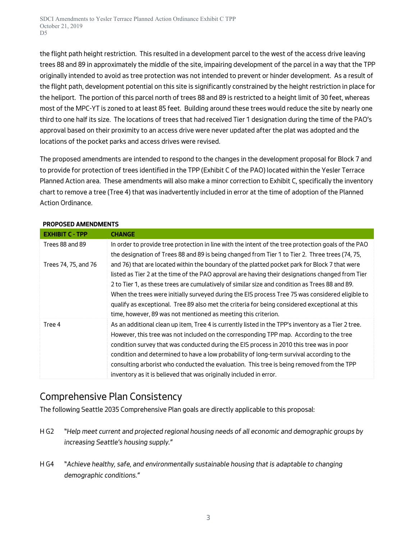the flight path height restriction. This resulted in a development parcel to the west of the access drive leaving trees 88 and 89 in approximately the middle of the site, impairing development of the parcel in a way that the TPP originally intended to avoid as tree protection was not intended to prevent or hinder development. As a result of the flight path, development potential on this site is significantly constrained by the height restriction in place for the heliport. The portion of this parcel north of trees 88 and 89 is restricted to a height limit of 30 feet, whereas most of the MPC-YT is zoned to at least 85 feet. Building around these trees would reduce the site by nearly one third to one half its size. The locations of trees that had received Tier 1 designation during the time of the PAO's approval based on their proximity to an access drive were never updated after the plat was adopted and the locations of the pocket parks and access drives were revised.

The proposed amendments are intended to respond to the changes in the development proposal for Block 7 and to provide for protection of trees identified in the TPP (Exhibit C of the PAO) located within the Yesler Terrace Planned Action area. These amendments will also make a minor correction to Exhibit C, specifically the inventory chart to remove a tree (Tree 4) that was inadvertently included in error at the time of adoption of the Planned Action Ordinance.

| <b>EXHIBIT C - TPP</b> | <b>CHANGE</b>                                                                                                                                                                                                                                                                                                                                                                                                                                                                                                                                                                                                                                                                  |
|------------------------|--------------------------------------------------------------------------------------------------------------------------------------------------------------------------------------------------------------------------------------------------------------------------------------------------------------------------------------------------------------------------------------------------------------------------------------------------------------------------------------------------------------------------------------------------------------------------------------------------------------------------------------------------------------------------------|
| Trees 88 and 89        | In order to provide tree protection in line with the intent of the tree protection goals of the PAO                                                                                                                                                                                                                                                                                                                                                                                                                                                                                                                                                                            |
| Trees 74, 75, and 76   | the designation of Trees 88 and 89 is being changed from Tier 1 to Tier 2. Three trees (74, 75,<br>and 76) that are located within the boundary of the platted pocket park for Block 7 that were<br>listed as Tier 2 at the time of the PAO approval are having their designations changed from Tier<br>2 to Tier 1, as these trees are cumulatively of similar size and condition as Trees 88 and 89.<br>When the trees were initially surveyed during the EIS process Tree 75 was considered eligible to<br>qualify as exceptional. Tree 89 also met the criteria for being considered exceptional at this<br>time, however, 89 was not mentioned as meeting this criterion. |
| Tree 4                 | As an additional clean up item, Tree 4 is currently listed in the TPP's inventory as a Tier 2 tree.<br>However, this tree was not included on the corresponding TPP map. According to the tree<br>condition survey that was conducted during the EIS process in 2010 this tree was in poor<br>condition and determined to have a low probability of long-term survival according to the<br>consulting arborist who conducted the evaluation. This tree is being removed from the TPP<br>inventory as it is believed that was originally included in error.                                                                                                                     |

#### **PROPOSED AMENDMENTS**

## Comprehensive Plan Consistency

The following Seattle 2035 Comprehensive Plan goals are directly applicable to this proposal:

- H G2 "*Help meet current and projected regional housing needs of all economic and demographic groups by increasing Seattle's housing supply."*
- H G4 "*Achieve healthy, safe, and environmentally sustainable housing that is adaptable to changing demographic conditions."*